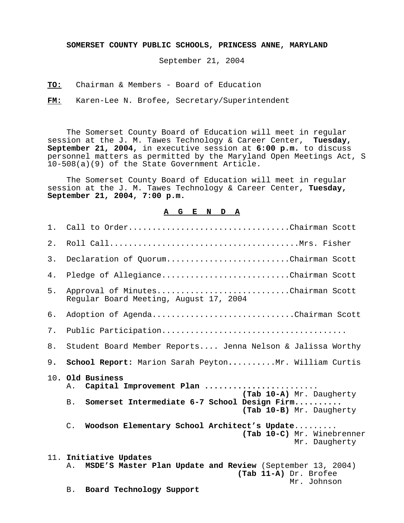## **SOMERSET COUNTY PUBLIC SCHOOLS, PRINCESS ANNE, MARYLAND**

September 21, 2004

**TO:** Chairman & Members - Board of Education

**FM:** Karen-Lee N. Brofee, Secretary/Superintendent

The Somerset County Board of Education will meet in regular session at the J. M. Tawes Technology & Career Center, **Tuesday, September 21, 2004,** in executive session at **6:00 p.m.** to discuss personnel matters as permitted by the Maryland Open Meetings Act, S 10-508(a)(9) of the State Government Article.

The Somerset County Board of Education will meet in regular session at the J. M. Tawes Technology & Career Center, **Tuesday, September 21, 2004, 7:00 p.m.** 

## **A G E N D A**

| 1. | Call to OrderChairman Scott                                                                                                       |
|----|-----------------------------------------------------------------------------------------------------------------------------------|
| 2. |                                                                                                                                   |
| 3. | Declaration of QuorumChairman Scott                                                                                               |
| 4. | Pledge of AllegianceChairman Scott                                                                                                |
| 5. | Approval of MinutesChairman Scott<br>Regular Board Meeting, August 17, 2004                                                       |
| б. | Adoption of AgendaChairman Scott                                                                                                  |
| 7. |                                                                                                                                   |
| 8. | Student Board Member Reports Jenna Nelson & Jalissa Worthy                                                                        |
| 9. | School Report: Marion Sarah PeytonMr. William Curtis                                                                              |
|    | 10. Old Business<br>Capital Improvement Plan<br>Α.<br>(Tab 10-A) Mr. Daugherty                                                    |
|    | Somerset Intermediate 6-7 School Design Firm<br>B.<br>(Tab 10-B) Mr. Daugherty                                                    |
|    | Woodson Elementary School Architect's Update<br>$\mathsf{C}$ .<br>(Tab 10-C) Mr. Winebrenner<br>Mr. Daugherty                     |
|    | 11. Initiative Updates<br>MSDE'S Master Plan Update and Review (September 13, 2004)<br>Α.<br>(Tab 11-A) Dr. Brofee<br>Mr. Johnson |
|    | Board Technology Support<br><b>B.</b>                                                                                             |